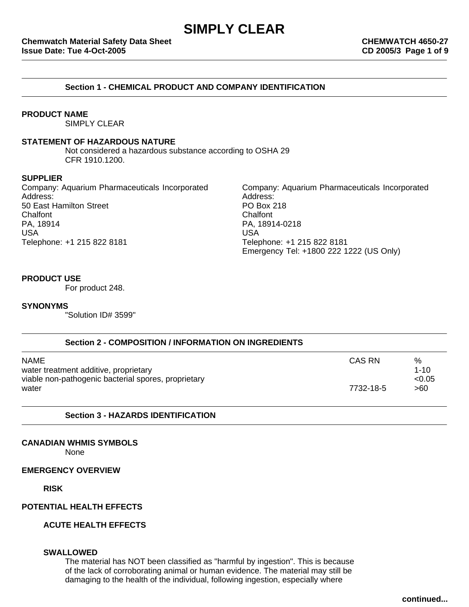# **Section 1 - CHEMICAL PRODUCT AND COMPANY IDENTIFICATION**

## **PRODUCT NAME**

SIMPLY CLEAR

#### **STATEMENT OF HAZARDOUS NATURE**

Not considered a hazardous substance according to OSHA 29 CFR 1910.1200.

#### **SUPPLIER**

Company: Aquarium Pharmaceuticals Incorporated Company: Aquarium Pharmaceuticals Incorporated Address: Address: 50 East Hamilton Street **PO Box 218** Chalfont Chalfont PA, 18914 PA, 18914-0218 USA USA Telephone: +1 215 822 8181 Telephone: +1 215 822 8181

Emergency Tel: +1800 222 1222 (US Only)

## **PRODUCT USE**

For product 248.

#### **SYNONYMS**

"Solution ID# 3599"

| Section 2 - COMPOSITION / INFORMATION ON INGREDIENTS |           |          |
|------------------------------------------------------|-----------|----------|
| NAME                                                 | CAS RN    | %        |
| water treatment additive, proprietary                |           | $1 - 10$ |
| viable non-pathogenic bacterial spores, proprietary  |           | < 0.05   |
| water                                                | 7732-18-5 | >60      |

## **Section 3 - HAZARDS IDENTIFICATION**

## **CANADIAN WHMIS SYMBOLS**

None

#### **EMERGENCY OVERVIEW**

**RISK**

# **POTENTIAL HEALTH EFFECTS**

**ACUTE HEALTH EFFECTS**

# **SWALLOWED**

The material has NOT been classified as "harmful by ingestion". This is because of the lack of corroborating animal or human evidence. The material may still be damaging to the health of the individual, following ingestion, especially where

**continued...**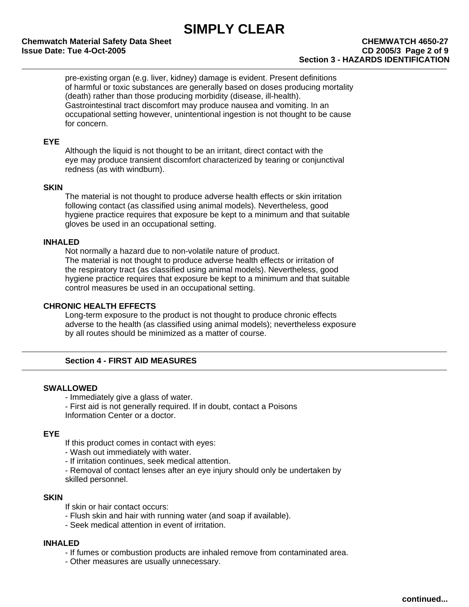pre-existing organ (e.g. liver, kidney) damage is evident. Present definitions of harmful or toxic substances are generally based on doses producing mortality (death) rather than those producing morbidity (disease, ill-health). Gastrointestinal tract discomfort may produce nausea and vomiting. In an occupational setting however, unintentional ingestion is not thought to be cause for concern.

## **EYE**

Although the liquid is not thought to be an irritant, direct contact with the eye may produce transient discomfort characterized by tearing or conjunctival redness (as with windburn).

## **SKIN**

The material is not thought to produce adverse health effects or skin irritation following contact (as classified using animal models). Nevertheless, good hygiene practice requires that exposure be kept to a minimum and that suitable gloves be used in an occupational setting.

# **INHALED**

Not normally a hazard due to non-volatile nature of product. The material is not thought to produce adverse health effects or irritation of the respiratory tract (as classified using animal models). Nevertheless, good hygiene practice requires that exposure be kept to a minimum and that suitable control measures be used in an occupational setting.

## **CHRONIC HEALTH EFFECTS**

Long-term exposure to the product is not thought to produce chronic effects adverse to the health (as classified using animal models); nevertheless exposure by all routes should be minimized as a matter of course.

# **Section 4 - FIRST AID MEASURES**

## **SWALLOWED**

- Immediately give a glass of water.
- First aid is not generally required. If in doubt, contact a Poisons

Information Center or a doctor.

## **EYE**

- If this product comes in contact with eyes:
- Wash out immediately with water.
- If irritation continues, seek medical attention.
- Removal of contact lenses after an eye injury should only be undertaken by skilled personnel.

# **SKIN**

If skin or hair contact occurs:

- Flush skin and hair with running water (and soap if available).
- Seek medical attention in event of irritation.

# **INHALED**

- If fumes or combustion products are inhaled remove from contaminated area.
- Other measures are usually unnecessary.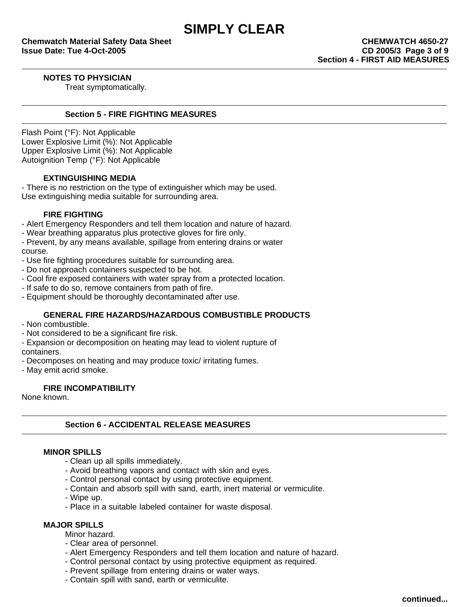**NOTES TO PHYSICIAN**

Treat symptomatically.

# **Section 5 - FIRE FIGHTING MEASURES**

Flash Point (°F): Not Applicable Lower Explosive Limit (%): Not Applicable Upper Explosive Limit (%): Not Applicable Autoignition Temp (°F): Not Applicable

# **EXTINGUISHING MEDIA**

- There is no restriction on the type of extinguisher which may be used. Use extinguishing media suitable for surrounding area.

# **FIRE FIGHTING**

- Alert Emergency Responders and tell them location and nature of hazard.
- Wear breathing apparatus plus protective gloves for fire only.
- Prevent, by any means available, spillage from entering drains or water course.
- Use fire fighting procedures suitable for surrounding area.
- Do not approach containers suspected to be hot.
- Cool fire exposed containers with water spray from a protected location.
- If safe to do so, remove containers from path of fire.
- Equipment should be thoroughly decontaminated after use.

# **GENERAL FIRE HAZARDS/HAZARDOUS COMBUSTIBLE PRODUCTS**

- Non combustible.
- Not considered to be a significant fire risk.
- Expansion or decomposition on heating may lead to violent rupture of

containers.

- Decomposes on heating and may produce toxic/ irritating fumes.
- May emit acrid smoke.

# **FIRE INCOMPATIBILITY**

None known.

# **Section 6 - ACCIDENTAL RELEASE MEASURES**

## **MINOR SPILLS**

- Clean up all spills immediately.
- Avoid breathing vapors and contact with skin and eyes.
- Control personal contact by using protective equipment.
- Contain and absorb spill with sand, earth, inert material or vermiculite.
- Wipe up.
- Place in a suitable labeled container for waste disposal.

# **MAJOR SPILLS**

Minor hazard.

- Clear area of personnel.
- Alert Emergency Responders and tell them location and nature of hazard.
- Control personal contact by using protective equipment as required.
- Prevent spillage from entering drains or water ways.
- Contain spill with sand, earth or vermiculite.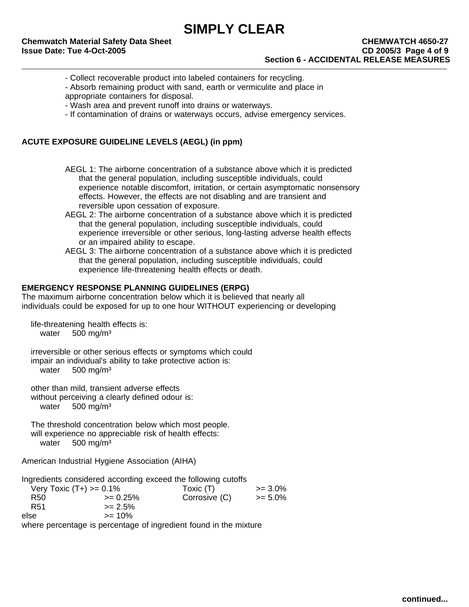- Collect recoverable product into labeled containers for recycling.
- Absorb remaining product with sand, earth or vermiculite and place in appropriate containers for disposal.
- 
- Wash area and prevent runoff into drains or waterways.
- If contamination of drains or waterways occurs, advise emergency services.

# **ACUTE EXPOSURE GUIDELINE LEVELS (AEGL) (in ppm)**

- AEGL 1: The airborne concentration of a substance above which it is predicted that the general population, including susceptible individuals, could experience notable discomfort, irritation, or certain asymptomatic nonsensory effects. However, the effects are not disabling and are transient and reversible upon cessation of exposure.
- AEGL 2: The airborne concentration of a substance above which it is predicted that the general population, including susceptible individuals, could experience irreversible or other serious, long-lasting adverse health effects or an impaired ability to escape.
- AEGL 3: The airborne concentration of a substance above which it is predicted that the general population, including susceptible individuals, could experience life-threatening health effects or death.

# **EMERGENCY RESPONSE PLANNING GUIDELINES (ERPG)**

The maximum airborne concentration below which it is believed that nearly all individuals could be exposed for up to one hour WITHOUT experiencing or developing

life-threatening health effects is: water 500 mg/m<sup>3</sup>

irreversible or other serious effects or symptoms which could impair an individual's ability to take protective action is: water 500 mg/m<sup>3</sup>

other than mild, transient adverse effects without perceiving a clearly defined odour is: water 500 mg/m<sup>3</sup>

The threshold concentration below which most people. will experience no appreciable risk of health effects: water 500 mg/m<sup>3</sup>

American Industrial Hygiene Association (AIHA)

Ingredients considered according exceed the following cutoffs  $V$ ery Toxic (T+) >= 0.1% Toxic (T)  $= 3.0\%$ R50  $> = 0.25\%$  Corrosive (C)  $> = 5.0\%$  $R51$   $>= 2.5%$  $e$ lse  $> = 10%$ where percentage is percentage of ingredient found in the mixture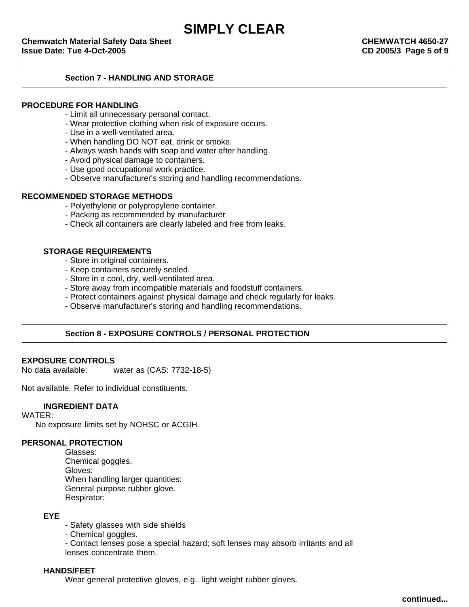# **Section 7 - HANDLING AND STORAGE**

# **PROCEDURE FOR HANDLING**

- Limit all unnecessary personal contact.
- Wear protective clothing when risk of exposure occurs.
- Use in a well-ventilated area.
- When handling DO NOT eat, drink or smoke.
- Always wash hands with soap and water after handling.
- Avoid physical damage to containers.
- Use good occupational work practice.
- Observe manufacturer's storing and handling recommendations.

#### **RECOMMENDED STORAGE METHODS**

- Polyethylene or polypropylene container.
- Packing as recommended by manufacturer
- Check all containers are clearly labeled and free from leaks.

#### **STORAGE REQUIREMENTS**

- Store in original containers.
- Keep containers securely sealed.
- Store in a cool, dry, well-ventilated area.
- Store away from incompatible materials and foodstuff containers.
- Protect containers against physical damage and check regularly for leaks.
- Observe manufacturer's storing and handling recommendations.

# **Section 8 - EXPOSURE CONTROLS / PERSONAL PROTECTION**

## **EXPOSURE CONTROLS**

No data available: water as (CAS: 7732-18-5)

Not available. Refer to individual constituents.

## **INGREDIENT DATA**

#### WATER:

No exposure limits set by NOHSC or ACGIH.

## **PERSONAL PROTECTION**

Glasses: Chemical goggles. Gloves: When handling larger quantities: General purpose rubber glove. Respirator:

# **EYE**

- Safety glasses with side shields
- Chemical goggles.
- Contact lenses pose a special hazard; soft lenses may absorb irritants and all
- lenses concentrate them.

# **HANDS/FEET**

Wear general protective gloves, e.g.. light weight rubber gloves.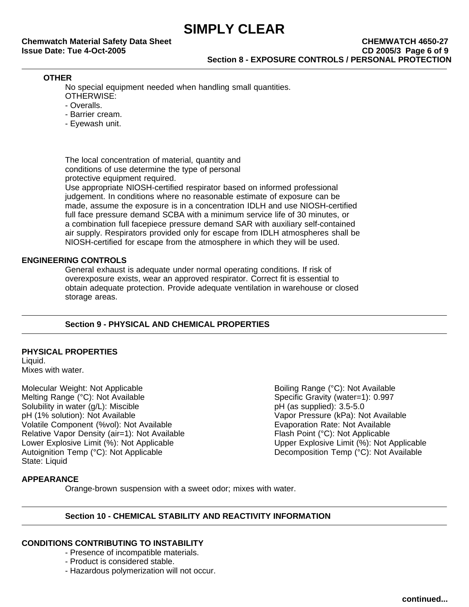**Chemwatch Material Safety Data Sheet Chemical Safety Data Sheet Chemical Sheet CHEMWATCH 4650-27 Issue Date: Tue 4-Oct-2005 CD 2005/3 Page 6 of 9 Section 8 - EXPOSURE CONTROLS / PERSONAL PROTECTION**

# **OTHER**

No special equipment needed when handling small quantities. OTHERWISE:

- Overalls.
- 
- Barrier cream.
- Eyewash unit.

The local concentration of material, quantity and conditions of use determine the type of personal protective equipment required.

Use appropriate NIOSH-certified respirator based on informed professional judgement. In conditions where no reasonable estimate of exposure can be made, assume the exposure is in a concentration IDLH and use NIOSH-certified full face pressure demand SCBA with a minimum service life of 30 minutes, or a combination full facepiece pressure demand SAR with auxiliary self-contained air supply. Respirators provided only for escape from IDLH atmospheres shall be NIOSH-certified for escape from the atmosphere in which they will be used.

# **ENGINEERING CONTROLS**

General exhaust is adequate under normal operating conditions. If risk of overexposure exists, wear an approved respirator. Correct fit is essential to obtain adequate protection. Provide adequate ventilation in warehouse or closed storage areas.

# **Section 9 - PHYSICAL AND CHEMICAL PROPERTIES**

# **PHYSICAL PROPERTIES**

Liquid. Mixes with water.

Molecular Weight: Not Applicable **Boiling Range (°C): Not Available** Boiling Range (°C): Not Available Melting Range (°C): Not Available<br>
Solubility in water (g/L): Miscible<br>
Solubility in water (g/L): Miscible<br>
Solubility in water (g/L): Miscible Solubility in water (g/L): Miscible pH (1% solution): Not Available Vapor Pressure (kPa): Not Available Volatile Component (%vol): Not Available **Example Evaporation Rate: Not Available** Volation Rate: Not Available Relative Vapor Density (air=1): Not Available<br>Lower Explosive Limit (%): Not Applicable Flash Point (%): Not Applicable Lower Explosive Limit (%): Not Applicable Lower Explosive Limit (%): Not Applicable<br>Autoignition Temp (°C): Not Applicable State: Liquid

Decomposition Temp (°C): Not Available

# **APPEARANCE**

Orange-brown suspension with a sweet odor; mixes with water.

# **Section 10 - CHEMICAL STABILITY AND REACTIVITY INFORMATION**

# **CONDITIONS CONTRIBUTING TO INSTABILITY**

- Presence of incompatible materials.
- Product is considered stable.
- Hazardous polymerization will not occur.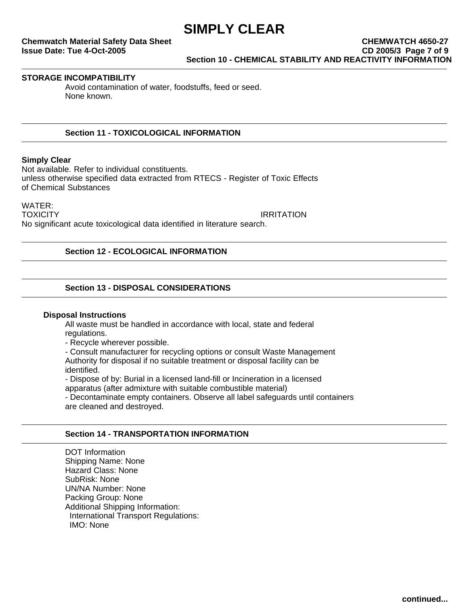# **Chemwatch Material Safety Data Sheet Chemical Safety Data Sheet Chemical Sheet CHEMWATCH 4650-27 Issue Date: Tue 4-Oct-2005 CD 2005/3 Page 7 of 9 Section 10 - CHEMICAL STABILITY AND REACTIVITY INFORMATION**

## **STORAGE INCOMPATIBILITY**

Avoid contamination of water, foodstuffs, feed or seed. None known.

# **Section 11 - TOXICOLOGICAL INFORMATION**

#### **Simply Clear**

Not available. Refer to individual constituents. unless otherwise specified data extracted from RTECS - Register of Toxic Effects of Chemical Substances

WATER: TOXICITY **IRRITATION** No significant acute toxicological data identified in literature search.

## **Section 12 - ECOLOGICAL INFORMATION**

# **Section 13 - DISPOSAL CONSIDERATIONS**

#### **Disposal Instructions**

All waste must be handled in accordance with local, state and federal regulations.

- Recycle wherever possible.

- Consult manufacturer for recycling options or consult Waste Management

Authority for disposal if no suitable treatment or disposal facility can be identified.

- Dispose of by: Burial in a licensed land-fill or Incineration in a licensed

apparatus (after admixture with suitable combustible material)

- Decontaminate empty containers. Observe all label safeguards until containers are cleaned and destroyed.

## **Section 14 - TRANSPORTATION INFORMATION**

DOT Information Shipping Name: None Hazard Class: None SubRisk: None UN/NA Number: None Packing Group: None Additional Shipping Information: International Transport Regulations: IMO: None

**continued...**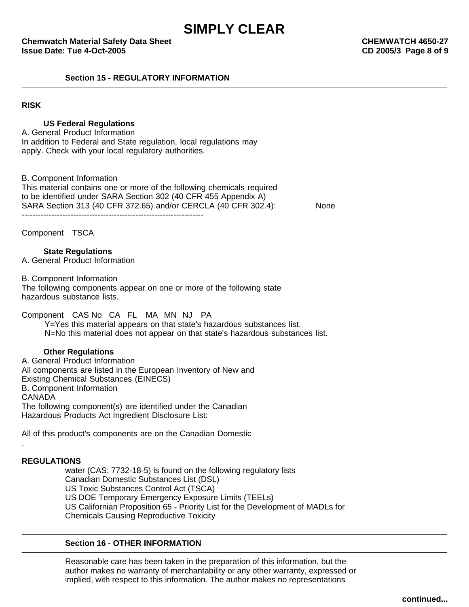## **Section 15 - REGULATORY INFORMATION**

# **RISK**

# **US Federal Regulations**

A. General Product Information In addition to Federal and State regulation, local regulations may apply. Check with your local regulatory authorities.

B. Component Information This material contains one or more of the following chemicals required to be identified under SARA Section 302 (40 CFR 455 Appendix A) SARA Section 313 (40 CFR 372.65) and/or CERCLA (40 CFR 302.4): None -------------------------------------------------------------------

Component TSCA

# **State Regulations**

A. General Product Information

B. Component Information

The following components appear on one or more of the following state hazardous substance lists.

Component CAS No CA FL MA MN NJ PA

Y=Yes this material appears on that state's hazardous substances list. N=No this material does not appear on that state's hazardous substances list.

## **Other Regulations**

A. General Product Information All components are listed in the European Inventory of New and Existing Chemical Substances (EINECS) B. Component Information CANADA The following component(s) are identified under the Canadian Hazardous Products Act Ingredient Disclosure List:

All of this product's components are on the Canadian Domestic

## **REGULATIONS**

.

water (CAS: 7732-18-5) is found on the following regulatory lists Canadian Domestic Substances List (DSL) US Toxic Substances Control Act (TSCA) US DOE Temporary Emergency Exposure Limits (TEELs) US Californian Proposition 65 - Priority List for the Development of MADLs for Chemicals Causing Reproductive Toxicity

# **Section 16 - OTHER INFORMATION**

Reasonable care has been taken in the preparation of this information, but the author makes no warranty of merchantability or any other warranty, expressed or implied, with respect to this information. The author makes no representations

**continued...**